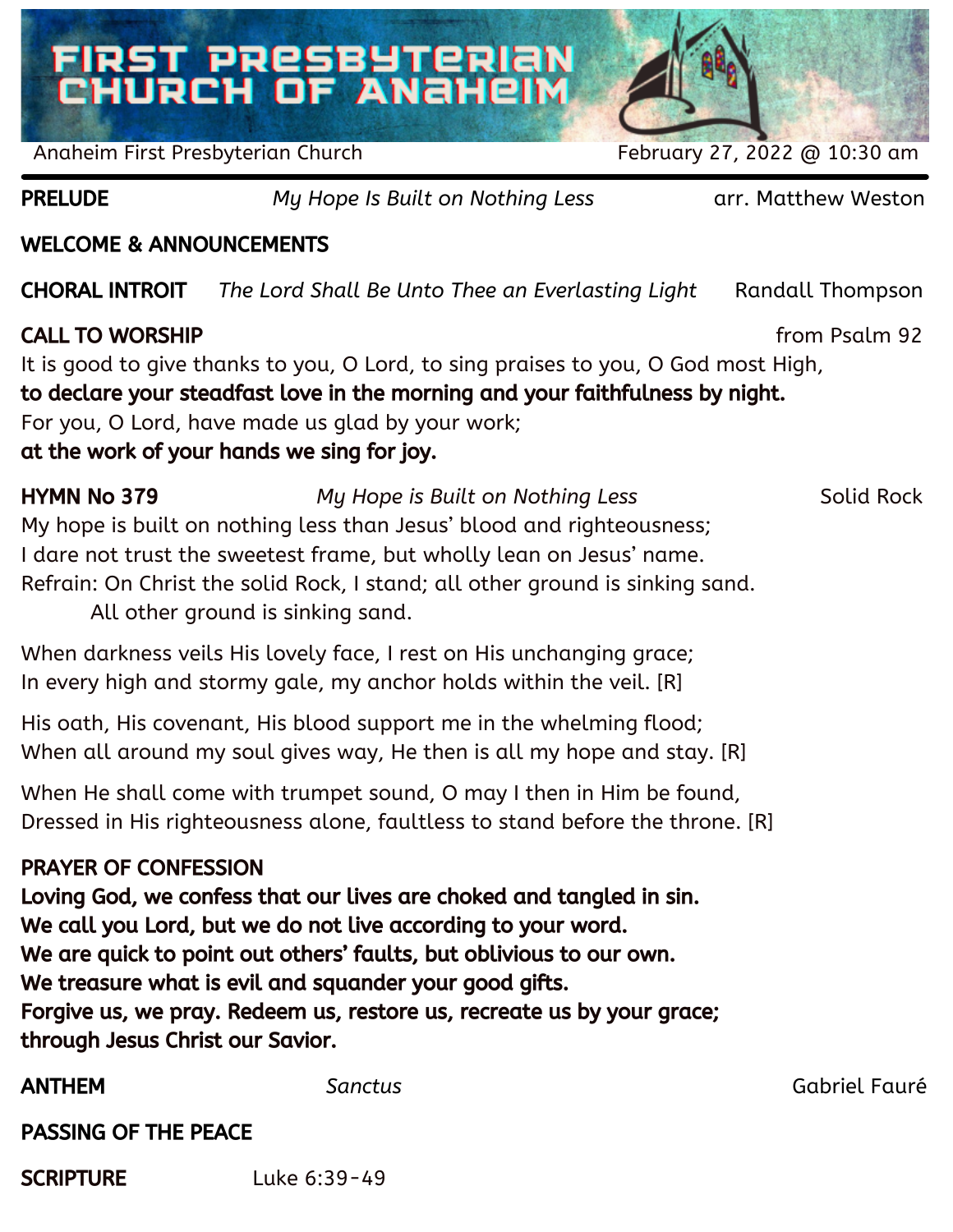# FIRST PRESBYTERIAN<br>CHURCH OF ANAHEIM



Anaheim First Presbyterian Church February 27, 2022 @ 10:30 am

PRELUDE *My Hope Is Built on Nothing Less* arr. Matthew Weston

## WELCOME & ANNOUNCEMENTS

CHORAL INTROIT *The Lord Shall Be Unto Thee an Everlasting Light* Randall Thompson

## **CALL TO WORSHIP** *CALL TO WORSHIP CALL TO WORSHIP*

It is good to give thanks to you, O Lord, to sing praises to you, O God most High,

to declare your steadfast love in the morning and your faithfulness by night.

For you, O Lord, have made us glad by your work;

at the work of your hands we sing for joy.

HYMN No 379 *My Hope is Built on Nothing Less* Solid Rock My hope is built on nothing less than Jesus' blood and righteousness;

I dare not trust the sweetest frame, but wholly lean on Jesus' name.

Refrain: On Christ the solid Rock, I stand; all other ground is sinking sand.

All other ground is sinking sand.

When darkness veils His lovely face, I rest on His unchanging grace; In every high and stormy gale, my anchor holds within the veil. [R]

His oath, His covenant, His blood support me in the whelming flood; When all around my soul gives way, He then is all my hope and stay. [R]

When He shall come with trumpet sound, O may I then in Him be found, Dressed in His righteousness alone, faultless to stand before the throne. [R]

# PRAYER OF CONFESSION

Loving God, we confess that our lives are choked and tangled in sin. We call you Lord, but we do not live according to your word. We are quick to point out others' faults, but oblivious to our own. We treasure what is evil and squander your good gifts. Forgive us, we pray. Redeem us, restore us, recreate us by your grace; through Jesus Christ our Savior.

ANTHEM *Sanctus* Gabriel Fauré

PASSING OF THE PEACE

SCRIPTURE Luke 6:39-49